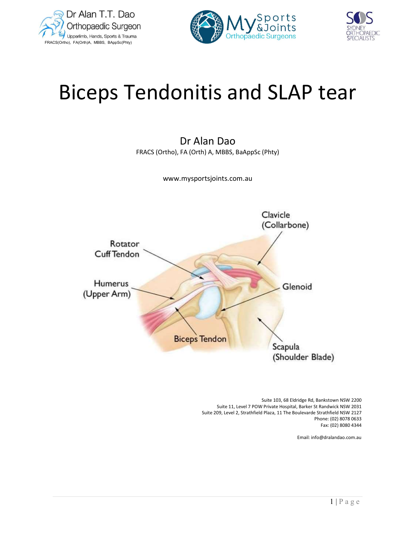





# Biceps Tendonitis and SLAP tear

Dr Alan Dao FRACS (Ortho), FA (Orth) A, MBBS, BaAppSc (Phty)

www.mysportsjoints.com.au



2)<br>
wick NSW 2200<br>
wick NSW 2031<br>
field NSW 2127<br>
(02) 8078 0633<br>
(02) 8080 4344<br>
llandao.com.au<br>  $\boxed{1 | P a g e}$  Suite 103, 68 Eldridge Rd, Bankstown NSW 2200 Suite 11, Level 7 POW Private Hospital, Barker St Randwick NSW 2031 Suite 209, Level 2, Strathfield Plaza, 11 The Boulevarde Strathfield NSW 2127 Phone: (02) 8078 0633 Fax: (02) 8080 4344

Email: info@dralandao.com.au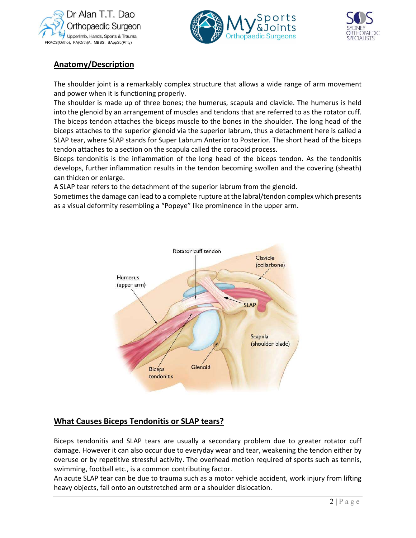





# Anatomy/Description

 The shoulder joint is a remarkably complex structure that allows a wide range of arm movement and power when it is functioning properly.

The shoulder is made up of three bones; the humerus, scapula and clavicle. The humerus is held into the glenoid by an arrangement of muscles and tendons that are referred to as the rotator cuff. The biceps tendon attaches the biceps muscle to the bones in the shoulder. The long head of the biceps attaches to the superior glenoid via the superior labrum, thus a detachment here is called a SLAP tear, where SLAP stands for Super Labrum Anterior to Posterior. The short head of the biceps tendon attaches to a section on the scapula called the coracoid process.

Biceps tendonitis is the inflammation of the long head of the biceps tendon. As the tendonitis develops, further inflammation results in the tendon becoming swollen and the covering (sheath) can thicken or enlarge.

A SLAP tear refers to the detachment of the superior labrum from the glenoid.

Sometimes the damage can lead to a complete rupture at the labral/tendon complex which presents as a visual deformity resembling a "Popeye" like prominence in the upper arm.



# What Causes Biceps Tendonitis or SLAP tears?

of the contraction of the set of the set of the set of the set of the set of the set of the set of the set of the set of the set of the set of the set of the set of the set of the set of the set of the set of the set of t Biceps tendonitis and SLAP tears are usually a secondary problem due to greater rotator cuff damage. However it can also occur due to everyday wear and tear, weakening the tendon either by overuse or by repetitive stressful activity. The overhead motion required of sports such as tennis, swimming, football etc., is a common contributing factor.

An acute SLAP tear can be due to trauma such as a motor vehicle accident, work injury from lifting heavy objects, fall onto an outstretched arm or a shoulder dislocation.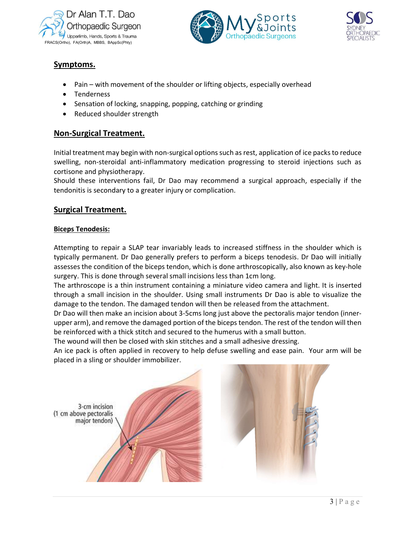





## Symptoms.

- Pain with movement of the shoulder or lifting objects, especially overhead
- Tenderness
- Sensation of locking, snapping, popping, catching or grinding
- Reduced shoulder strength

## Non-Surgical Treatment.

Initial treatment may begin with non-surgical options such as rest, application of ice packs to reduce swelling, non-steroidal anti-inflammatory medication progressing to steroid injections such as cortisone and physiotherapy.

Should these interventions fail, Dr Dao may recommend a surgical approach, especially if the tendonitis is secondary to a greater injury or complication.

## Surgical Treatment.

#### Biceps Tenodesis:

Attempting to repair a SLAP tear invariably leads to increased stiffness in the shoulder which is typically permanent. Dr Dao generally prefers to perform a biceps tenodesis. Dr Dao will initially assesses the condition of the biceps tendon, which is done arthroscopically, also known as key-hole surgery. This is done through several small incisions less than 1cm long.

The arthroscope is a thin instrument containing a miniature video camera and light. It is inserted through a small incision in the shoulder. Using small instruments Dr Dao is able to visualize the damage to the tendon. The damaged tendon will then be released from the attachment.

Dr Dao will then make an incision about 3-5cms long just above the pectoralis major tendon (innerupper arm), and remove the damaged portion of the biceps tendon. The rest of the tendon will then be reinforced with a thick stitch and secured to the humerus with a small button.

The wound will then be closed with skin stitches and a small adhesive dressing.

rm will be<br> $\overline{3 | P \text{ a g e}}$ An ice pack is often applied in recovery to help defuse swelling and ease pain. Your arm will be placed in a sling or shoulder immobilizer.